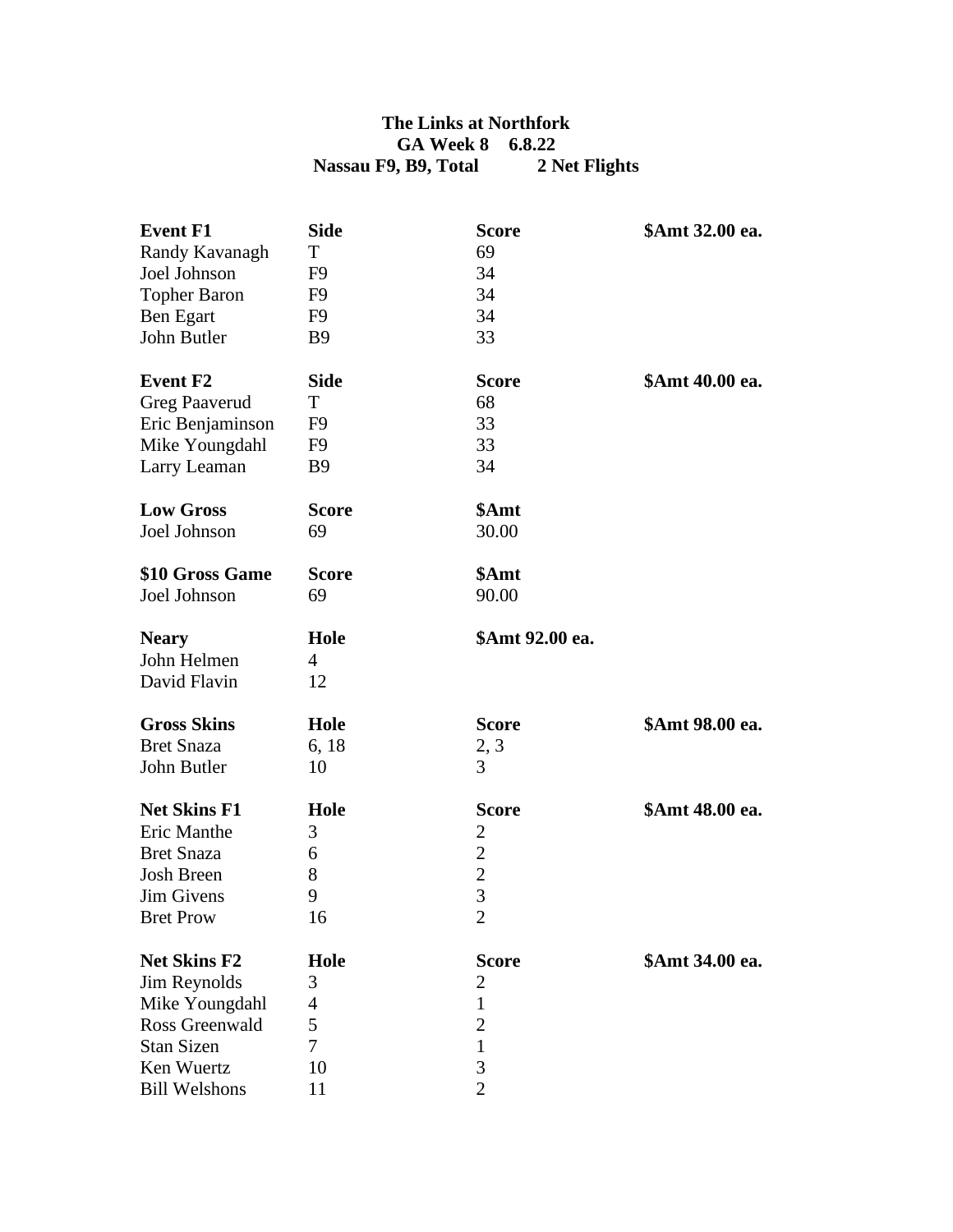## **The Links at Northfork GA Week 8 6.8.22 Nassau F9, B9, Total 2 Net Flights**

| <b>Event F1</b>      | <b>Side</b>  | <b>Score</b>    | \$Amt 32.00 ea. |
|----------------------|--------------|-----------------|-----------------|
| Randy Kavanagh       | T            | 69              |                 |
| Joel Johnson         | F9           | 34              |                 |
| <b>Topher Baron</b>  | F9           | 34              |                 |
| Ben Egart            | F9           | 34              |                 |
| John Butler          | <b>B</b> 9   | 33              |                 |
| <b>Event F2</b>      | <b>Side</b>  | <b>Score</b>    | \$Amt 40.00 ea. |
| Greg Paaverud        | T            | 68              |                 |
| Eric Benjaminson     | F9           | 33              |                 |
| Mike Youngdahl       | F9           | 33              |                 |
| Larry Leaman         | <b>B</b> 9   | 34              |                 |
| <b>Low Gross</b>     | <b>Score</b> | \$Amt           |                 |
| Joel Johnson         | 69           | 30.00           |                 |
| \$10 Gross Game      | <b>Score</b> | \$Amt           |                 |
| Joel Johnson         | 69           | 90.00           |                 |
| <b>Neary</b>         | Hole         | \$Amt 92.00 ea. |                 |
| John Helmen          | 4            |                 |                 |
| David Flavin         | 12           |                 |                 |
| <b>Gross Skins</b>   | Hole         | <b>Score</b>    | \$Amt 98.00 ea. |
| <b>Bret Snaza</b>    | 6, 18        | 2, 3            |                 |
| John Butler          | 10           | 3               |                 |
| <b>Net Skins F1</b>  | Hole         | <b>Score</b>    | \$Amt 48.00 ea. |
| Eric Manthe          | 3            | $\overline{c}$  |                 |
| <b>Bret Snaza</b>    | 6            | $\overline{c}$  |                 |
| <b>Josh Breen</b>    | 8            | $\frac{2}{3}$   |                 |
| Jim Givens           | 9            |                 |                 |
| <b>Bret Prow</b>     | 16           | $\overline{c}$  |                 |
| <b>Net Skins F2</b>  | Hole         | <b>Score</b>    | \$Amt 34.00 ea. |
| Jim Reynolds         | 3            | $\overline{c}$  |                 |
| Mike Youngdahl       | 4            | $\mathbf{1}$    |                 |
| Ross Greenwald       | 5            | $\overline{c}$  |                 |
| <b>Stan Sizen</b>    | 7            | $\mathbf{1}$    |                 |
| Ken Wuertz           | 10           | 3               |                 |
| <b>Bill Welshons</b> | 11           | $\overline{2}$  |                 |